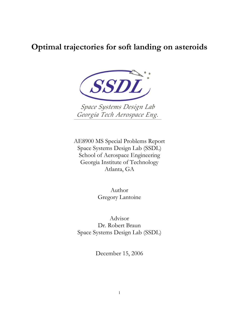# **Optimal trajectories for soft landing on asteroids**



Space Systems Design Lab Georgia Tech Aerospace Eng.

AE8900 MS Special Problems Report Space Systems Design Lab (SSDL) School of Aerospace Engineering Georgia Institute of Technology Atlanta, GA

> Author Gregory Lantoine

Advisor Dr. Robert Braun Space Systems Design Lab (SSDL)

December 15, 2006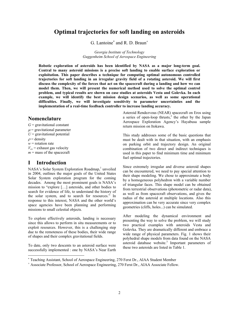# **Optimal trajectories for soft landing on asteroids**

G. Lantoine<sup>\*</sup> and R. D. Braun<sup>+</sup>

*Georgia Institute of Technology Guggenheim School of Aerospace Engineering* 

**Robotic exploration of asteroids has been identified by NASA as a major long-term goal. Central to many asteroid missions is a precise soft landing to enable surface exploration or exploitation. This paper describes a technique for computing optimal autonomous controlled trajectories for soft landing in an irregular gravity field of a rotating asteroid. We will first discuss the complexity of the forces that act on the spacecraft during a landing and how we can model them. Then, we will present the numerical method used to solve the optimal control problem, and typical results are shown on case studies at asteroids Vesta and Golevka. In each example, we will identify the best mission design scenarios, as well as some operational difficulties. Finally, we will investigate sensitivity to parameter uncertainties and the implementation of a real-time feedback controller to increase landing accuracy.** 

# **Nomenclature**

 $G =$  gravitational constant  $\mu$  = gravitational parameter  $U =$  gravitational potential  $\rho$  = density *w* = rotation rate  $V_{ex}$  = exhaust gas velocity  $m =$  mass of the spacecraft

# **I Introduction**

 $\overline{a}$ 

NASA's Solar System Exploration Roadmap,<sup>1</sup> unveiled in 2004, outlines the major goals of the United States Solar System exploration program for the coming decades. Among the most prominent goals is NASA's mission to "explore […] asteroids, and other bodies to search for evidence of life, to understand the history of the solar system, and to search for resources." In response to this interest, NASA and the other world's space agencies have been planning and performing missions to small celestial objects*.*

To explore effectively asteroids, landing is necessary since this allows to perform in situ measurements or to exploit resources. However, this is a challenging step due to the remoteness of these bodies, their wide range of shapes and their complex gravitational fields.

To date, only two descents to an asteroid surface were successfully implemented : one by NASA's Near Earth Asteroid Rendezvous (NEAR) spacecraft on Eros using a series of open-loop thrusts, $\frac{2}{3}$  the other by the Japan Aerospace Exploration Agency's Hayabusa sample return mission on Itokawa.

This study addresses some of the basic questions that must be dealt with in that situation, with an emphasis on parking orbit and trajectory design. An original combination of two direct and indirect techniques is used in this paper to find minimum time and minimum fuel optimal trajectories.

Since extremely irregular and diverse asteroid shapes can be encountered, we need to pay special attention to their shape modeling. We chose to approximate a body by a homogeneous polyhedron with a variable number of triangular faces. This shape model can be obtained from terrestrial observations (photometric or radar data), as well as from spacecraft observations, and gives the radius of the asteroid at multiple locations. Also this approximation can be very accurate since very complex geometries (cliffs, holes...) can be simulated.

After modeling the dynamical environment and presenting the way to solve the problem, we will study two practical examples with asteroids Vesta and Golevka. They are dramatically different and embrace a wide range of physical parameters. Fig. 1 shows their polyhedral shape models from data found on the NASA asteroid database website.<sup>3</sup> Important parameters of these two asteroids are listed in Table 1.

<sup>∗</sup> Teaching Assistant, School of Aerospace Engineering, 270 Ferst Dr., AIAA Student Member

<sup>+</sup> Associate Professor, School of Aerospace Engineering, 270 Ferst Dr., AIAA Associate Fellow.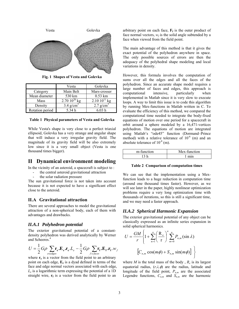

**Fig. 1 Shapes of Vesta and Golevka** 

|                 | Vesta                   | Golevka                 |
|-----------------|-------------------------|-------------------------|
| Category        | Main Belt               | Mars-crosser            |
| Mean diameter   | 530 km                  | $0.53$ km               |
| Mass            | 2.70 $10^{20}$ kg       | $2.1010^{11}$ kg        |
| Density         | $3.4$ g/cm <sup>3</sup> | $2.7$ g/cm <sup>3</sup> |
| Rotation period | 5.34h                   | 6 03 h                  |

**Table 1 Physical parameters of Vesta and Golevka** 

While Vesta's shape is very close to a perfect triaxial ellipsoid, Golevka has a very strange and angular shape that will induce a very irregular gravity field. The magnitude of its gravity field will be also extremely low since it is a very small object (Vesta is one thousand times bigger).

# **II Dynamical environment modeling**

In the vicinity of an asteroid, a spacecraft is subject to :

- the central asteroid gravitational attraction
- the solar radiation pressure

The sun gravitational force is not taken into account because it is not expected to have a significant effect close to the asteroid.

#### **II.A Gravitational attraction**

There are several approaches to model the gravitational attraction of a non-spherical body, each of them with advantages and drawbacks.

#### *II.A.1 Polyhedron potential*

The exterior gravitational potential of a constantdensity polyhedron was derived analytically by Werner and Scheeres.<sup>4</sup>

$$
U = \frac{1}{2} G \rho \sum_{e \in edges} \mathbf{r}_e \cdot \mathbf{E}_e \cdot \mathbf{r}_e \cdot L_e - \frac{1}{2} G \rho \sum_{f \in faces} \mathbf{r}_f \cdot \mathbf{E}_f \cdot \mathbf{r}_f \cdot w_f
$$
\n
$$
\left[ C_{n,m} \cos(m\phi) + S_{n,m} \sin(m\phi) \right]
$$

where  $\mathbf{r}_{e}$  is a vector from the field point to an arbitrary point on each edge,  $E_e$  is a dyad defined in terms of the face and edge normal vectors associated with each edge, *Le* is a logarithmic term expressing the potential of a 1D straight wire,  $\mathbf{r}_f$  is a vector from the field point to an

arbitrary point on each face,  $\mathbf{F_f}$  is the outer product of face normal vectors,  $w_f$  is the solid angle subtended by a face when viewed from the field point.

The main advantage of this method is that it gives the exact potential of the polyhedron anywhere in space. The only possible sources of errors are then the adequacy of the polyhedral shape modeling and local variations in density.

However, this formula involves the computation of sums over all the edges and all the faces of the polyhedron. Since an accurate shape model requires a large number of faces and edges, this approach is computational intensive, particularly when computational intensive, particularly when implemented in Matlab since it is very slow to execute loops. A way to limit this issue is to code this algorithm by running Mex-functions in Matlab written in C. To evaluate the efficiency of this method, we compared the computational time needed to integrate the body-fixed equations of motion over one period for a spacecraft in orbit around a sphere modeled by a 16,471-vertices polyhedron. The equations of motion are integrated using Matlab's "ode45" function (Dormand–Prince method) with a relative tolerance of  $10^{-6}$  (m) and an absolute tolerance of  $10^{-8}$  (m).

| m-function | Mex-function |
|------------|--------------|
|            | mın          |

#### **Table 2 Comparison of computation times**

We can see that the implementation using a Mexfunction leads to a huge reduction in computation time (around one thousand times faster). However, as we will see later in the paper, highly nonlinear optimization problems require a very long optimization time with thousands of iterations, so this is still a significant time, and we may need a faster approach.

#### *II.A.2 Spherical Harmonic Expansion*

The exterior gravitational potential of any object can be classically expressed as an infinite series expansion in solid spherical harmonics*.*

$$
U = \frac{GM}{r} \left\{ 1 + \sum_{n=1}^{\infty} \left( \frac{R_e}{r} \right)^n \sum_{m=0}^n P_{n,m} (\sin \lambda) \right\}
$$

$$
\left[ C_{n,m} \cos(m\phi) + S_{n,m} \sin(m\phi) \right] \right\}
$$

where  $M$  is the total mass of the body,  $R_e$  is its largest equatorial radius,  $(r, \lambda, \phi)$  are the radius, latitude and longitude of the field point,  $P_{n,m}$  are the associated Legendre functions,  $C_{n,m}$  and  $S_{n,m}$  are the harmonic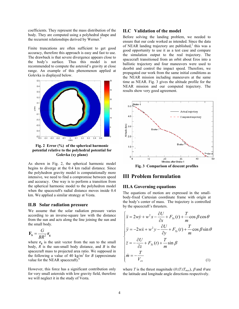coefficients. They represent the mass distribution of the body. They are computed using a polyhedral shape and the recurrent relationships derived by Werner.<sup>5</sup>

Finite truncations are often sufficient to get good accuracy, therefore this approach is easy and fast to use. The drawback is that severe divergence appears close to the body's surface. Thus this model is not recommended to compute the asteroid's gravity at close range. An example of this phenomenon applied at Golevka is displayed below.



**Fig. 2 Error (%) of the spherical harmonic potential relative to the polyhedral potential for Golevka (xy plane)** 

As shown in Fig. 2, the spherical harmonic model begins to diverge at the 0.4 km radial distance*.* Since the polyhedron gravity model is computationally more intensive, we need to find a compromise between speed and accuracy. One way is to perform a transition from the spherical harmonic model to the polyhedron model when the spacecraft's radial distance moves inside 0.4 km. We applied a similar strategy at Vesta.

#### **II.B Solar radiation pressure**

We assume that the solar radiation pressure varies according to an inverse-square law with the distance from the sun and acts along the line joining the sun and the small body.

$$
\mathbf{F}_{\mathbf{s}} = \frac{G}{BR^2} \mathbf{r}_{\mathbf{g}}
$$

where  $\mathbf{r}_g$  is the unit vector from the sun to the small body, *R* is the sun-small body distance, and *B* is the spacecraft mass to projected area ratio. We supposed in the following a value of 40 kg/m<sup>2</sup> for *B* (approximate value for the NEAR spacecraft).<sup>6</sup>

However, this force has a significant contribution only for very small asteroids with low gravity field, therefore we will neglect it in the study of Vesta.

### **II.C Validation of the model**

Before solving the landing problem, we needed to ensure that our code worked as intended. Since the data of NEAR landing trajectory are published, $2$  this was a good opportunity to use it as a test case and compare the simulation output to the real trajectory. The spacecraft transitioned from an orbit about Eros into a ballistic trajectory and four maneuvers were used to deorbit and control the impact speed. Therefore, we propagated our work from the same initial conditions as the NEAR mission including maneuvers at the same time as NEAR. Fig. 3 gives the altitude profile for the NEAR mission and our computed trajectory. The results show very good agreement.



**Fig. 3 Comparison of descent profiles** 

# **III Problem formulation**

### **III.A Governing equations**

The equations of motion are expressed in the smallbody-fixed Cartesian coordinate frame with origin at the body's center of mass. The trajectory is controlled by the spacecraft's thrusters.

$$
\begin{cases}\n\ddot{x} = 2w\dot{y} + w^2x - \frac{\partial U}{\partial x} + F_{sx}(t) + \frac{T}{m}\cos\beta\cos\theta \\
\ddot{y} = -2w\dot{x} + w^2y - \frac{\partial U}{\partial y} + F_{sy}(t) + \frac{T}{m}\cos\beta\sin\theta \\
\ddot{z} = -\frac{\partial U}{\partial z} + F_{sz}(t) + \frac{T}{m}\sin\beta \\
\dot{m} = -\frac{T}{V_{ex}}\n\end{cases}
$$
\n(1)

where *T* is the thrust magnitude ( $0 \leq T \leq T_{max}$ ),  $\beta$  and  $\theta$  are the latitude and longitude angle directions respectively.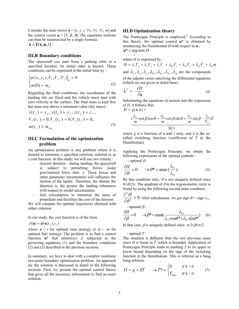Consider the state vector  $\mathbf{x} = [x, y, z, Vx, Vy, Vz, m]$  and the control vector **u** = [T, β,  $θ$ ]. The equations motions can then be summarized by a single formula :

 $\dot{\mathbf{x}} = \mathbf{f}(\mathbf{x}, \mathbf{u}, t)$ 

### **III.B Boundary conditions**

The spacecraft can start from a parking orbit or a specified location. Its initial mass is known. These conditions can be expressed at the initial time by :

$$
\left| \psi(x, y, z, V_x, V_y, V_z) \right|_0 = 0
$$
 of the adjoint  
\n*m*(0) = *m*<sub>0</sub> (2) (which are n  
\nRegarding the final conditions, the coordinates of the  
\n
$$
\hat{\lambda}^T = -\frac{\partial H}{\partial x}
$$

landing site are fixed and the vehicle must land with zero velocity at the surface. The final mass is kept free but must stay above a minimum value (dry mass) :

$$
x(t_f) = x_f, y(t_f) = y_f, z(t_f) = z_f,
$$
  
\n
$$
V_x(t_f) = 0, V_y(t_f) = 0, V_z(t_f) = 0,
$$
  
\n
$$
m(t_f) \ge m_{\text{dyn}}
$$
\n(3)

# **III.C Formulation of the optimization problem**

An optimization problem is any problem where it is desired to minimize a specified criterion, referred to as a cost function. In this study, we will use two criteria :

- descent duration : during landing, the spacecraft is subject to perturbing forces (solar gravitational force, dust…). These forces and other parameter uncertainties will influence the motion of the lander. Therefore, the shorter the duration is, the greater the landing robustness with respect to model uncertainties.
- fuel consumption to minimize the mass of propellant and therefore the cost of the mission.

We will compare the optimal trajectories obtained with either criterion.

In our study, the cost function is of the form

$$
J(\mathbf{u}) = \phi(\mathbf{x}(t_f), t_f)
$$

where  $\phi = t$  for optimal time strategy or  $\phi = -m$  for optimal fuel strategy. The problem is to find a control function **u\*** that minimizes *J*, subjected to the governing equations (1) and the boundary conditions (2) and (3) described in the previous sections.

In summary, we have to deal with a complex nonlinear two-point boundary optimization problem. An approach for the solution is discussed in detail in the following sections. First, we present the optimal control theory that gives all the necessary information to find an exact solution.

#### **III.D Optimization theory**

The Pontryagin Principle is employed.<sup>7</sup> According to this theory, the optimal control **u\*** is obtained by minimizing the Hamiltonian *H* with respect to **u** :  $\mathbf{u}^* = \arg \min H$ 

where  $H$  is expressed by :

*u*

 $H = \lambda_x V_x + \lambda_y V_y + \lambda_z V_z + \lambda_{V_x} V_x + \lambda_{V_y} V_y + \lambda_{V_z} V_z + \lambda_w m$ and  $\lambda_x$ ,  $\lambda_y$ ,  $\lambda_z$ ,  $\lambda_{Vx}$ ,  $\lambda_{Vy}$ ,  $\lambda_{Vz}$ ,  $\lambda_m$  are the components of the adjoint vector satisfying the differential equations (which are not given in detail here) :

$$
\dot{\lambda}^T = -\frac{\partial H}{\partial x} \tag{4}
$$

Substituting the equations of motion into the expression of *H*, it follows that

$$
H = g(\mathbf{x}, \lambda) +
$$
  

$$
(\frac{\lambda_{\gamma_x}}{m} \cos \beta \cos \theta + \frac{\lambda_{\gamma_x}}{m} \cos \beta \sin \theta + \frac{\lambda_{\gamma_z}}{m} \sin \beta - \frac{\lambda_m}{V_{ex}})T
$$
  

$$
S(t)
$$

where *g* is a function of **x** and  $\lambda$  only, and *S* is the socalled switching function (coefficient of *T* in the Hamiltonian).

Applying the Pontryagin Principle, we obtain the following expressions of the optimal controls :

- optimal  $\theta$ :

$$
\frac{\partial H}{\partial \theta} = 0 \qquad \to \theta^* = \operatorname{atan} \left( \frac{\lambda_{V_y}}{\lambda_{V_z}} \right) \tag{5}
$$

By this condition only,  $\theta$  is not uniquely defined since  $0 ≤ θ ≤ 2π$ . The quadrant of  $θ$  in the trigonometric circle is found by using the following second order condition :

$$
\frac{\partial^2 H}{\partial \theta^2} > 0.
$$
 After calculations, we get sign  $\theta = -\text{sign } \lambda_{V_y}.$ 

- optimal  $\beta$  :

$$
\frac{\partial H}{\partial \beta} = 0 \quad \rightarrow \beta^* = \text{atan}(\frac{\lambda_{V_z}}{\lambda_{V_x} \cos \theta^* + \lambda_{V_y} \sin \theta^*}) \quad (6)
$$

In that case,  $\beta$  is uniquely defined since  $-\pi/2 \leq \beta \leq \pi/2$ .

- optimal *T* :

The situation is different than the two previous cases since *H* is linear in *T*, which is bounded. Application of Pontryagin Principle leads to pushing *T* to its upper or lower bound depending on the sign of the switching function in the Hamiltonian. This is referred as a bang bang solution.

$$
H = g + ST \qquad \to T^* = \begin{cases} 0 & \text{if } S > 0 \\ T_{\text{max}} & \text{if } S < 0 \end{cases} \tag{7}
$$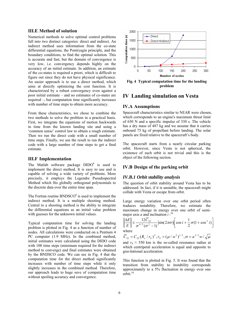#### **III.E Method of solution**

Numerical methods to solve optimal control problems fall into two distinct categories: direct and indirect. An indirect method uses information from the co-state differential equations, the Pontryagin principle, and the boundary conditions, to find the optimal solution*.* This is accurate and fast, but the domain of convergence is very low, i.e. convergency depends highly on the accuracy of an initial estimate. In addition, an estimate of the co-states is required a priori, which is difficult to figure out since they do not have physical significance. An easier approach is to use a direct method, which aims at directly optimizing the cost function. It is characterized by a robust convergency even against a poor initial estimate – and no estimates of co-states are required –, but computation time significantly increases with number of time steps to obtain more accuracy.

From these characteristics, we chose to combine the two methods to solve the problem in a practical basis. First, we integrate the equations of motion backwards in time from the known landing site and using a 'common sense' control law to obtain a rough estimate. Then we run the direct code with a small number of time steps. Finally, we use the result to run the indirect code with a large number of time steps to get a final estimate.

#### **III.F Implementation**

The Matlab software package  $DIDO^8$  is used to implement the direct method. It is easy to use and is capable of solving a wide variety of problems. More precisely, it employs the Legendre Pseudospectral Method which fits globally orthogonal polynomials to the discrete data over the entire time span.

The Fortran routine  $BNDSCO<sup>9</sup>$  is used to implement the indirect method. It is a multiple shooting method. Central to a shooting method is the ability to integrate the differential equations as an initial value problem with guesses for the unknown initial values.

Typical computation time for solving the landing problem is plotted in Fig. 4 as a function of number of nodes. All calculations were conducted on a Pentium 4 PC computer (1.9 MHz). In the combined method, initial estimates were calculated using the DIDO code with 100 time steps (minimum required for the indirect method to converge) and final estimates were obtained by the BNDSCO code. We can see in Fig. 4 that the computation time for the direct method significantly increases with number of time steps while it only slightly increases in the combined method*.* Therefore, our approach leads to huge save of computation time without spoiling accuracy and convergence.



**Fig. 4 Typical computation time for the landing problem** 

# **IV Landing simulation on Vesta**

#### **IV.A Assumptions**

Spacecraft characteristics similar to NEAR were chosen, which corresponds to an engine's maximum thrust limit of 650 N and a specific impulse of 330 s. The vehicle has a dry mass of 487 kg and we assume that it carries onboard 75 kg of propellant before landing. The solar panels are fixed relative to the spacecraft's body.

The spacecraft starts from a nearly circular parking orbit. However, since Vesta is not spherical, the existence of such orbit is not trivial and this is the object of the following section.

### **IV.B Design of the parking orbit**

#### *IV.B.1 Orbit stability analysis*

The question of orbit stability around Vesta has to be addressed. In fact, if it is unstable, the spacecraft might collide with Vesta or escape from orbit.

Large energy variation over one orbit period often traduces instability. Therefore, we estimate the maximum change in energy over one orbit of semimajor axis *a* and inclination  $i:10$ 

$$
\left\| \frac{\Delta E}{E} \right\| \le \frac{12 C_{22}}{\sigma^{4/3} (\sigma^2 - 1)} \left| \sin(2\pi\sigma) \right| \left[ \cos i + \frac{1}{2} \sigma (1 + \cos^2 i) \right]
$$
  
where

 $\overline{C}_{22} = C_{22} (R_e / r_s)^2$ ,  $r_s = (\mu / w^2)^{1/3}$ ,  $\sigma = a^{3/2} w / \sqrt{\mu}$ and  $r_S \approx 550$  km is the so-called resonance radius at which centripetal acceleration is equal and opposite to gravitational acceleration.

This function is plotted in Fig. 5. It was found that the transition from stability to instability corresponds approximately to a 5% fluctuation in energy over one  $orbit<sup>10</sup>$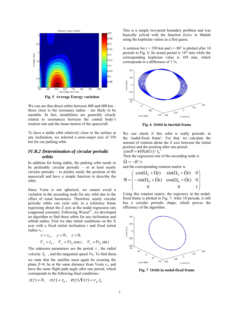

**Fig. 5 Average Energy variation** 

We can see that direct orbits between 400 and 600 km – those close to the resonance radius – are likely to be unstable. In fact, instabilities are generally closely related to resonances between the central body's rotation rate and the mean motion of the spacecraft.

To have a stable orbit relatively close to the surface at any inclination, we selected a semi-major axis of 350 km for our parking orbit.

# *IV.B.2 Determination of circular periodic orbits*

In addition for being stable, the parking orbit needs to be preferably circular periodic – or at least nearly circular periodic – to predict easily the position of the spacecraft and have a simple function to describe the orbit.

Since Vesta is not spherical, we cannot avoid a variation in the ascending node for any orbit due to the effect of zonal harmonics. Therefore, nearly circular periodic orbits can exist only in a reference frame regressing about the Z axis at the nodal regression rate (supposed constant). Following Wiesel<sup>11</sup>, we developed an algorithm to find these orbits for any inclination and orbital radius. First we take initial conditions on the X axis with a fixed initial inclination *i* and fixed initial radius  $r_0$  :

$$
x = r_0
$$
,  $y = 0$ ,  $z = 0$ ,  
\n $V_x = \dot{r}_0$ ,  $V_y = Vt_0 \cos i$ ,  $V_z = Vt_0 \sin i$ 

The unknown parameters are the period  $\tau$ , the radial velocity  $\dot{r}_0$ , and the tangential speed  $Vt_0$ . To find them, we state that the satellite must again be crossing the plane  $Z=0$ , be at the same distance from Vesta  $r_0$ , and have the same flight path angle after one period, which corresponds to the following final conditions :

$$
z(\tau) = 0
$$
,  $r(\tau) = r_0$ ,  $\mathbf{r}(\tau) \cdot \mathbf{V}(\tau) = r_0 \dot{r}_0$ 

This is a simple two-point boundary problem and was basically solved with the function *fsolve* in Matlab using the keplerian values as a first guess.

A solution for  $r = 350$  km and  $i = 80^{\circ}$  is plotted after 10 periods in Fig. 6. Its actual period is 187 min while the corresponding keplerian value is 189 min, which corresponds to a difference of 1 %.



**Fig. 6 Orbit in inertial frame** 

We can check if this orbit is really periodic in the 'nodal-fixed frame'. For that, we calculate the amount of rotation about the Z axis between the initial position and the position after one period :

 $\cos\theta = \mathbf{r}(0).\mathbf{r}(\tau)/r_0^2$ 

Then the regression rate of the ascending node is  $\dot{\Omega} = -\theta/\tau$ 

and the corresponding rotation matrix is

$$
\mathfrak{R} = \begin{pmatrix}\n\cos(\Omega_0 + \dot{\Omega}t) & \sin(\Omega_0 + \dot{\Omega}t) & 0 \\
-\sin(\Omega_0 + \dot{\Omega}t) & \cos(\Omega_0 + \dot{\Omega}t) & 0 \\
0 & 0 & 1\n\end{pmatrix}
$$

Using this rotation matrix, the trajectory in the nodalfixed frame is plotted in Fig. 7. After 10 periods, it still has a circular periodic shape, which proves the efficiency of the algorithm.



**Fig. 7 Orbit in nodal-fixed frame**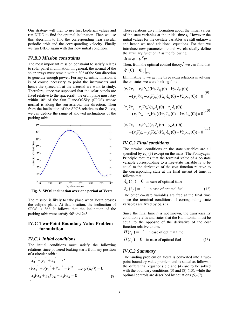Our strategy will then to use first keplerian values and run DIDO to find the optimal inclination. Then we use this algorithm to find the corresponding near circular periodic orbit and the corresponding velocity. Finally we run DIDO again with this new initial condition.

#### *IV.B.3 Mission constraints*

The most important mission constraint to satisfy relates to solar panel illumination. In general, the normal of the solar arrays must remain within 30° of the Sun direction to generate enough power. For any scientific mission, it is of course necessary to point the instruments and hence the spacecraft at the asteroid we want to study. Therefore, since we supposed that the solar panels are fixed relative to the spacecraft, the orbit plane must stay within 30° of the Sun Plane-Of-Sky (SPOS) whose normal is along the sun-asteroid line direction. Then from the inclination of the SPOS relative to the Z axis, we can deduce the range of allowed inclinations of the parking orbit.



**Fig. 8 SPOS inclination over one period of Vesta** 

The mission is likely to take place when Vesta crosses the ecliptic plane. At that location, the inclination of SPOS is 86°. It follows that the inclination of the parking orbit must satisfy 56°≤*i*≤124°.

# **IV.C Two-Point Boundary Value Problem formulation**

#### *IV.C.1 Initial conditions*

The initial conditions must satisfy the following relations since powered braking starts from any position of a circular orbit :

$$
\begin{cases} x_0^2 + y_0^2 + z_0^2 = r^2 \\ Vx_0^2 + Vy_0^2 + Vz_0^2 = V^2 \implies \psi(\mathbf{x}, 0) = 0 \\ x_0Vx_0 + y_0Vy_0 + z_0Vz_0 = 0 \end{cases}
$$
 (8)

These relations give information about the initial values of the state variables at the initial time *ti*. However the initial values for the co-state variables are still unknown and hence we need additional equations. For that, we introduce new parameters  $\nu$  and we classically define the auxiliary function  $\Phi$  as the following :

$$
\Phi = \phi + v^T \psi
$$

Then, from the optimal control theory, $\frac{7}{1}$  we can find that  $\lambda^T(0) = \Phi_x \big|_{t=0}$ 

Eliminating ν, we get the three extra relations involving the co-states we were looking for :

$$
(z_0Vx_0 - x_0Vz_0)(Vx_0\lambda_{V_y}(0) - Vy_0\lambda_{V_x}(0)) - (y_0Vx_0 - x_0Vy_0)(Vx_0\lambda_{V_z}(0) - Vz_0\lambda_{V_x}(0)) = 0
$$
\n(9)

$$
(z_0Vx_0 - x_0Vz_0)(x_0\lambda_z(0) - z_0\lambda_x(0))
$$
  
-(x\_0Vz\_0 - z\_0Vx\_0)(Vx\_0\lambda\_{Vz}(0) - Vz\_0\lambda\_{Vx}(0)) = 0<sup>(10)</sup>

$$
(z_0Vx_0 - x_0Vz_0)(x_0\lambda_y(0) - y_0\lambda_x(0)) - (x_0Vy_0 - y_0Vx_0)(Vx_0\lambda_{vz}(0) - Vz_0\lambda_{vx}(0)) = 0
$$
\n(11)

#### *IV.C.2 Final conditions*

The terminal conditions on the state variables are all specified by eq. (3) except on the mass. The Pontryagin Principle requires that the terminal value of a co-state variable corresponding to a free-state variable is to be equal to the derivative of the cost function relative to the corresponding state at the final instant of time. It follows that :

$$
\lambda_m(t_f) = 0
$$
 in case of optimal time  

$$
\lambda_m(t_f) = -1
$$
 in case of optimal fuel (12)

The other co-state variables are free at the final time since the terminal conditions of corresponding state variables are fixed by eq. (3).

Since the final time  $t_f$  is not known, the transversality condition yields and states that the Hamiltonian must be equal to the opposite of the derivative of the cost function relative to time :

$$
H(tf) = -1
$$
 in case of optimal time  

$$
H(tf) = 0
$$
 in case of optimal fuel (13)

#### *IV.C.3 Summary*

The landing problem on Vesta is converted into a twopoint boundary value problem and is stated as follows : the differential equations (1) and (4) are to be solved with the boundary conditions  $(3)$  and  $(8)-(13)$ , while the optimal controls are described by equations (5)-(7).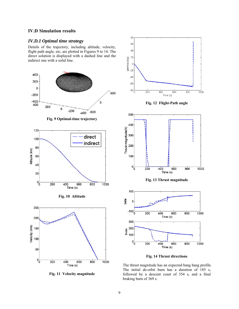# **IV.D Simulation results**

# *IV.D.1 Optimal time strategy*

Details of the trajectory, including altitude, velocity, flight path angle, etc, are plotted in Figures 9 to 14. The direct solution is displayed with a dashed line and the indirect one with a solid line.



**Fig. 11 Velocity magnitude** 



**Fig. 14 Thrust directions**

The thrust magnitude has an expected bang bang profile. The initial de-orbit burn has a duration of 185 s, followed by a descent coast of 354 s, and a final braking burn of 369 s.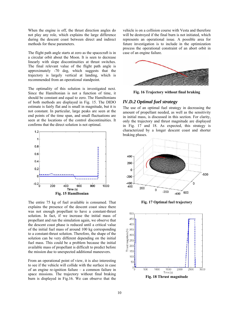When the engine is off, the thrust direction angles do not play any role, which explains the large difference during the descent coast between direct and indirect methods for these parameters.

The flight path angle starts at zero as the spacecraft is in a circular orbit about the Moon. It is seen to decrease linearly with slope discontinuities at thrust switches. The final relevant value of the flight path angle is approximately -70 deg, which suggests that the trajectory is largely vertical at landing, which is recommended from an operational standpoint.

The optimality of this solution is investigated next. Since the Hamiltonian is not a function of time, it should be constant and equal to zero. The Hamiltonians of both methods are displayed in Fig. 15. The DIDO estimate is fairly flat and is small in magnitude, but it is not constant. In particular, large peaks are seen at the end points of the time span, and small fluctuations are seen at the locations of the control discontinuities. It confirms that the direct solution is not optimal.



The entire 75 kg of fuel available is consumed. That explains the presence of the descent coast since there was not enough propellant to have a constant-thrust solution. In fact, if we increase the initial mass of propellant and run the simulation again, we observe that the descent coast phase is reduced until a critical value of the initial fuel mass of around 100 kg corresponding to a constant-thrust solution. Therefore, the shape of the solution can be very different depending on the initial fuel mass. This could be a problem because the initial available mass of propellant is difficult to predict before the mission due to unexpected additional maneuvers.

From an operational point of view, it is also interesting to see if the vehicle will collide with the surface in case of an engine re-ignition failure – a common failure in space missions. The trajectory without final braking burn is displayed in Fig.16. We can observe that the

vehicle is on a collision course with Vesta and therefore will be destroyed if the final burn is not initiated, which represents an operational issue. A possible area for future investigation is to include in the optimization process the operational constraint of an abort orbit in case of an engine failure.



**Fig. 16 Trajectory without final braking**

# *IV.D.2 Optimal fuel strategy*

The use of an optimal fuel strategy in decreasing the amount of propellant needed, as well as the sensitivity in initial mass, is discussed in this section. For clarity, only the trajectory and thrust magnitude are displayed in Fig. 17 and 18. As expected, this strategy is characterized by a longer descent coast and shorter braking phases.



**Fig. 17 Optimal fuel trajectory** 

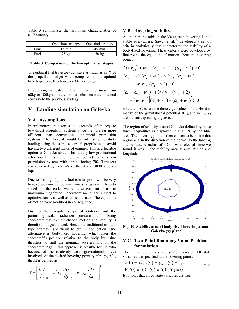Table 3 summarizes the two main characteristics of each strategy.

|      | Opt. time strategy | Opt. fuel strategy |
|------|--------------------|--------------------|
| Time | $15 \text{ min}$   | $45 \text{ min}$   |
| Fuel | 75 kg              | $50 \text{ kg}$    |

#### **Table 3 Comparison of the two optimal strategies**

The optimal fuel trajectory can save as much as 33 % of the propellant budget when compared to the optimal time trajectory. It is however 3 times longer.

In addition, we tested different initial fuel mass from 60kg to 100kg and very similar solutions were obtained contrary to the previous strategy.

# **V Landing simulation on Golevka**

### **V.A Assumptions**

Interplanetary trajectories to asteroids often require low-thrust propulsion systems since they are far more efficient than conventional chemical propulsion systems. Therefore, it would be interesting to study landing using the same electrical propulsion to avoid having two different kinds of engines. This is a feasible option at Golevka since it has a very low gravitational attraction. In this section, we will consider a xenon ion propulsion system with three Boeing 702 Thrusters characterized by 165 mN of thrust and 3800 seconds Isp.

Due to the high Isp, the fuel consumption will be very low, so we consider optimal time strategy only. Also to speed up the code, we suppose constant thrust at maximum magnitude – therefore no longer subject to optimization –, as well as constant mass. The equations of motion were modified in consequence.

Due to the irregular shape of Golevka and the perturbing solar radiation pressure, an orbiting spacecraft may exhibit chaotic motion and stability is therefore not guaranteed. Hence the traditional orbitertype strategy is difficult to put in application. One alternative is body-fixed hovering, which fixes the spacecraft's position relative to the body by using thrusters to null the nominal accelerations on the spacecraft. Again, this approach is feasible for Golevka because of the relatively weak gravitational forces involved. At the desired hovering point  $\mathbf{r}_0 = [x_0, y_0, z_0]^T$ , thrust is defined as

$$
\mathbf{T} = \left[ \frac{\partial U}{\partial x} \bigg|_0 - w^2 x_0, \frac{\partial U}{\partial y} \bigg|_0 - w^2 y_0, \frac{\partial U}{\partial z} \bigg|_0 \right]^T
$$

#### **V.B Hovering stability**

As the parking orbit in the Vesta case, hovering is not stable everywhere. Sawai et  $al.^{12}$  developed a set of criteria analytically that characterize the stability of a body-fixed hovering. These criteria were developed by linearizing the equations of motion about the hovering point :

$$
3w^{2}v_{3z}^{2} + w^{2} - (\alpha_{1} + w^{2}) - (\alpha_{2} + w^{2}) \ge 0
$$
  
\n
$$
(\alpha_{1} + w^{2})(\alpha_{2} + w^{2}) - w^{2}v_{1z}^{2}(\alpha_{2} + w^{2}) - w^{2}v_{2z}^{2}(\alpha_{1} + w^{2}) \ge 0
$$
  
\n
$$
(\alpha_{1} - \alpha_{2} - w^{2})^{2} + 3w^{4}v_{3z}^{2}(v_{3z}^{2} + 2) - 8w^{2}v_{3z}^{2}[(\alpha_{1} + w^{2}) + (\alpha_{2} + w^{2})] > 0
$$

where  $\alpha_1$ ,  $\alpha_2$ ,  $\alpha_3$  are the three eigenvalues of the Hessian matrix of the gravitational potential at  $\mathbf{r}_0$  and  $v_1$ ,  $v_2$ ,  $v_3$ are the corresponding eigenvectors.

The region of stability around Golevka defined by these three inequalities is displayed in Fig. 19 by the blue area. The hovering point is then chosen to be inside this region and in the direction of the normal to the landing site surface. A radius of 0.7km was selected since we found it was in the stability area at any latitude and longitude.



**Fig. 19 Stability area of body-fixed hovering around Golevka (xy plane)** 

# **V.C Two-Point Boundary Value Problem formulation**

The initial conditions are straightforward. All state variables are specified at the hovering point :

$$
x(0) = x_0, y(0) = y_0, z(0) = z_0,
$$
  
\n
$$
V_x(0) = 0, V_y(0) = 0, V_z(0) = 0
$$
\n(14)

It follows that all co-state variables are free.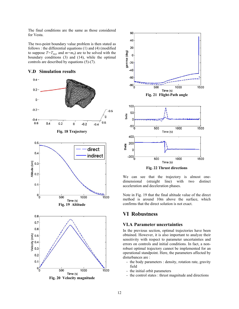The final conditions are the same as those considered for Vesta.

The two-point boundary value problem is then stated as follows : the differential equations (1) and (4) (modified to suppose  $T=T_{max}$  and  $m=m_0$ ) are to be solved with the boundary conditions (3) and (14), while the optimal controls are described by equations (5)-(7).

# **V.D Simulation results**



**Fig. 20 Velocity magnitude** 



We can see that the trajectory is almost one-

dimensional (straight line) with two distinct acceleration and deceleration phases.

Note in Fig. 19 that the final altitude value of the direct method is around 10m above the surface, which confirms that the direct solution is not exact.

# **VI Robustness**

#### **VI.A Parameter uncertainties**

In the previous section, optimal trajectories have been obtained. However, it is also important to analyze their sensitivity with respect to parameter uncertainties and errors on controls and initial conditions. In fact, a nonrobust optimal trajectory cannot be implemented for an operational standpoint. Here, the parameters affected by disturbances are :

- the body parameters : density, rotation rate, gravity field
- the initial orbit parameters
- the control states : thrust magnitude and directions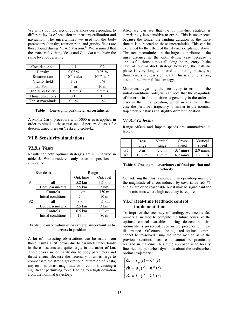We will study two sets of covariances corresponding to different levels of precision in thrusters calibration and navigation. The uncertainties we used for the body parameters (density, rotation rate, and gravity field) are those found during NEAR Mission.<sup>13</sup> We assumed that the spacecraft visiting Vesta and Golevka can obtain the same level of certainty.

| Covariance set          | #1                                   | # $2$            |
|-------------------------|--------------------------------------|------------------|
| Density                 | $0.05\%$                             | $0.05\%$         |
| Rotation rate           | $\overline{10}$ <sup>-10</sup> rad/s | $10^{-10}$ rad/s |
| Gravity field           | $1\%$                                | $1\%$            |
| <b>Initial Position</b> | 1 <sub>m</sub>                       | 10 <sub>m</sub>  |
| <b>Initial Velocity</b> | $0.1$ mm/s                           | $5 \text{ mm/s}$ |
| Thrust directions       | $01^{\circ}$                         | 10               |
| Thrust magnitude        | $0.1\%$                              | 0/2              |

#### **Table 4 One-sigma parameter uncertainties**

A Monte-Carlo procedure with 5000 tries is applied in order to simulate these two sets of perturbed cases for descent trajectories on Vesta and Golevka.

#### **VI.B Sensitivity simulations**

#### *VI.B.1 Vesta*

Results for both optimal strategies are summarized in table 5. We considered only error in position for simplicity.

| Run description |                    | Range             |                   |
|-----------------|--------------------|-------------------|-------------------|
|                 |                    | Opt. time         | Opt. fuel         |
| #1              | all                | 5.2 km            | 3.1 km            |
|                 | Body parameters    | $2.5 \mathrm{km}$ | $3 \text{ km}$    |
|                 | Controls           | 4 km              | 150 m             |
|                 | Initial conditions | 2 <sub>m</sub>    | 10 <sub>m</sub>   |
| #2              | all                | 8 km              | 4.5 km            |
|                 | Body parameters    | $2.5 \mathrm{km}$ | $3 \text{ km}$    |
|                 | Controls           | $6.5 \text{ km}$  | $1.7 \mathrm{km}$ |
|                 | Initial conditions | 13 m              | 80 <sub>m</sub>   |

#### **Table 5 Contribution of parameter uncertainties to errors in position**

A lot of interesting observations can be made from those results. First, errors due to parameter uncertainty in these descents are quite large, in the order of km. These errors are primarily due to body parameters and thrust errors. Because the necessary thrust is large to compensate the strong gravitational attraction of Vesta, any error in thrust magnitude or direction is causing a significant perturbing force leading to a high deviation from the nominal trajectory.

Also, we can see that the optimal-fuel strategy is surprisingly less sensitive to errors. This is unexpected because the longer the landing duration is, the more time it is subjected to these uncertainties. This can be explained by the effect of thrust errors explained above. Thruster uncertainties are the largest contributor to the miss distance in the optimal-time case because it applies full-thrust almost all along the trajectory. In the case of optimal-fuel strategy however, the ballistic phase is very long compared to braking phases, so thrust errors are less significant. This is another strong asset of the optimal-fuel strategy.

Moreover, regarding the sensitivity to errors in the initial conditions only, we can note that the magnitude of the error in final position is generally in the order of error in the initial position, which means that in this case the perturbed trajectory is similar to the nominal trajectory but starts at a slightly different location.

#### *VI.B.2 Golevka*

Range offsets and impact speeds are summarized in table 6.

|    | Cross            | Vertical        | Cross      | Vertical          |
|----|------------------|-----------------|------------|-------------------|
|    | range            | range           | speed      | speed             |
| #1 | 3 m              | $2.5 \text{ m}$ | $3.7$ mm/s | $2.9$ mm/s        |
| #2 | 182 <sub>m</sub> | 16.5 m          | $6.7$ mm/s | $10 \text{ mm/s}$ |

#### **Table 6 One-sigma covariances of final position and velocity**

Considering that this is applied in an open-loop manner, the magnitude of errors induced by covariance sets #1 and #2 are quite reasonable but it may be significant for some missions where high accuracy is required.

# **VI.C Real-time feedback control implementation**

To improve the accuracy of landing, we need a fast numerical method to compute the future course of the optimal control variables during descent so that optimality is preserved even in the presence of those disturbances. Of course, the adjusted optimal control cannot be re-solved using the same method as in the previous sections because it cannot be practically realized in real-time. A simple approach is to locally linearize the perturbed dynamics about the undisturbed optimal trajectory :

$$
\begin{cases} \delta \mathbf{x} = \mathbf{x}_p(t) - \mathbf{x}^*(t) \\ \delta \mathbf{u} = \mathbf{u}_p(t) - \mathbf{u}^*(t) \\ \delta \lambda = \lambda_p(t) - \lambda^*(t) \end{cases}
$$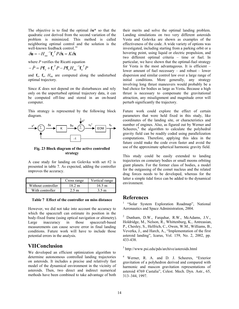The objective is to find the optimal δ**u\*** so that the quadratic cost derived from the second variation of the problem is minimized. This method is called neighboring optimal control and the solution is the well-known feedback control.<sup>14</sup>

$$
\delta \mathbf{u} = -H_{uu}^{-1} \mathbf{f}_u^T P \delta \mathbf{x} = K \delta \mathbf{x}
$$

where *P* verifies the Ricatti equation

$$
-\dot{P} = P\mathbf{f}_x + \mathbf{f}_x^T P - P\mathbf{f}_u H_{uu}^{-1} \mathbf{f}_u^T P
$$

and  $f_x$ ,  $f_y$ ,  $H_{uu}$  are computed along the undisturbed optimal trajectory.

Since *K* does not depend on the disturbances and rely only on the unperturbed optimal trajectory data, it can be computed off-line and stored in an on-board computer.

This strategy is represented by the following block diagram.



**Fig. 23 Block diagram of the active controlled strategy**

A case study for landing on Golevka with set #2 is presented in table 7. As expected, adding the controller improves the accuracy.

|                    | Cross range | Vertical range   |
|--------------------|-------------|------------------|
| Without controller | 18 2 m      | 16.5 m           |
| With controller    | 2.5 m       | 3.5 <sub>m</sub> |

**Table 7 Effect of the controller on miss distance** 

However, we did not take into account the accuracy to which the spacecraft can estimate its position in the body-fixed frame (using optical navigation or altimetry). Large inaccuracy in those spacecraft-based measurements can cause severe error in final landing conditions. Future work will have to include those potential errors in the analysis.

# **VIIConclusion**

We developed an efficient optimization algorithm to determine autonomous controlled landing trajectories on asteroids. It includes a precise and relatively fast model of the dynamical environment in the vicinity of asteroids. Then, two direct and indirect numerical methods have been combined to take advantage of both

their merits and solve the optimal landing problem. Landing simulations on two very different asteroids Vesta and Golevka are shown as examples of the effectiveness of the code. A wide variety of options was investigated, including starting from a parking orbit or a hovering point, using liquid or electric propulsion, and two different optimal criteria – time or fuel. In particular, we have shown that the optimal-fuel strategy for Vesta is the most advantageous. It is efficient – lower amount of fuel necessary – and robust – lower dispersion and similar control law over a large range of initial conditions. More generally, any strategy involving long thrust maneuvers would probably be a bad choice for bodies as large as Vesta**.** Because a high thrust is necessary to compensate the gravitational attraction, any misalignment and magnitude error will perturb significantly the trajectory.

Future work could explore the effect of certain parameters that were held fixed in this study, like coordinates of the landing site, or characteristics and number of engines. Also, as figured out by Werner and Scheeres,<sup>4</sup> the algorithm to calculate the polyhedral gravity field can be readily coded using parallelization computations. Therefore, applying this idea in the future could make the code even faster and avoid the use of the approximate spherical harmonic gravity field.

This study could be easily extended to landing trajectories on cometary bodies or small moons orbiting giant planets. For the former class of bodies, a model for the outgassing of the comet nucleus and the related drag forces needs to be developed, whereas for the latter a simple tidal force can be added to the dynamical environment.

# **References**

<sup>1</sup> "Solar System Exploration Roadmap", National Aeronautics and Space Administration, 2004.

2 Dunham, D.W., Farquhar, R.W., McAdams, J.V., Holdridge, M., Nelson, R., Whittenburg, K., Antreasian, P., Chesley, S., Helfrich, C., Owen, W.M., Williams, B., Veverka, J., and Harch, A., "Implementation of the first asteroid landing", Icarus, Vol. 159, No. 2, 2002, pp. 433-438.

3 http://www.psi.edu/pds/archive/asteroids.html

4 Werner, R. A. and D. J. Scheeres, "Exterior gravitation of a polyhedron derived and compared with harmonic and mascon gravitation representations of asteroid 4769 Castalia", Celest. Mech. Dyn. Astr., 65, 313–344, 1997.